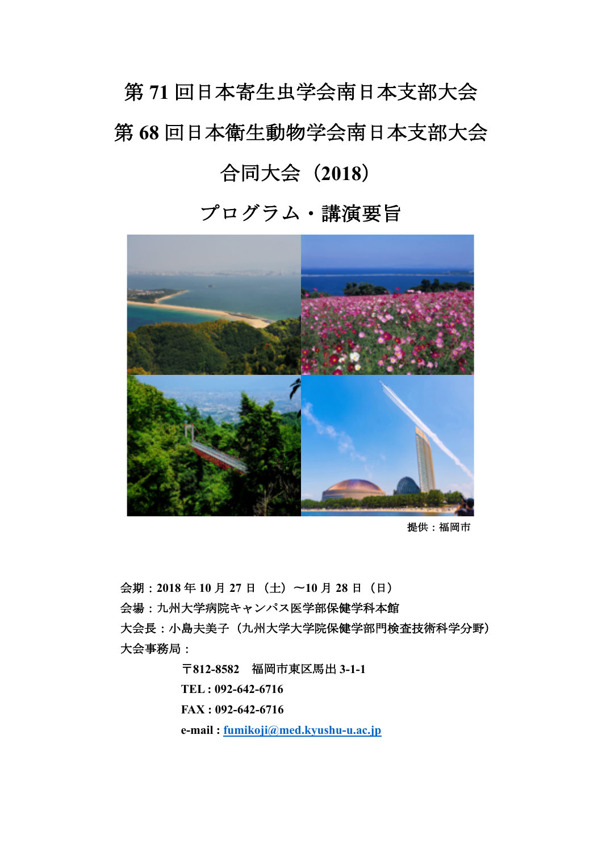# 第 **71** 回日本寄生虫学会南日本支部大会 第 **68** 回日本衛生動物学会南日本支部大会 合同大会(**2018**)

# プログラム・講演要旨



 提供:福岡市

 会期:**2018** 年 **10** 月 **27** 日(土)〜**10** 月 **28** 日(日) 会場:九州大学病院キャンパス医学部保健学科本館 大会長:小島夫美子(九州大学大学院保健学部門検査技術科学分野) 大会事務局:

> 〒**812-8582** 福岡市東区馬出 **3-1-1 TEL : 092-642-6716**

 **FAX : 092-642-6716**

**e-mail : fumikoji@med.kyushu-u.ac.jp**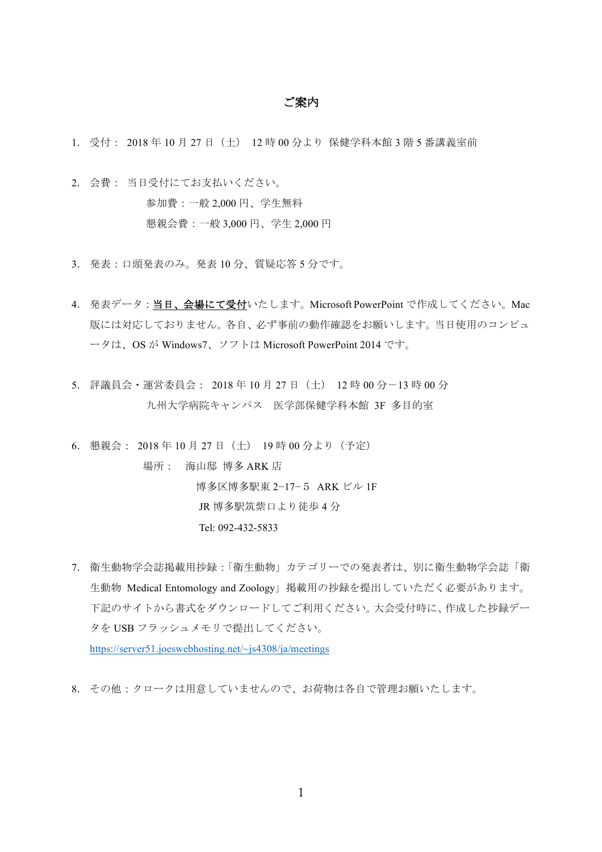#### ご案内

- 1. 受付: 2018 年 10 月 27 日(土) 12 時 00 分より 保健学科本館 3 階 5 番講義室前
- 2. 会費: 当日受付にてお支払いください。 参加費:一般 2,000 円、学生無料 懇親会費:一般 3,000 円、学生 2,000 円
- 3. 発表:口頭発表のみ。発表 10 分、質疑応答 5 分です。
- 4. 発表データ:当日、会場にて受付いたします。Microsoft PowerPoint で作成してください。Mac 版には対応しておりません。各自、必ず事前の動作確認をお願いします。当日使用のコンピュ ータは、OS が Windows7、ソフトは Microsoft PowerPoint 2014 です。
- 5. 評議員会・運営委員会: 2018 年 10 月 27 日(土) 12 時 00 分-13 時 00 分 九州大学病院キャンパス 医学部保健学科本館 3F 多目的室

6. 懇親会: 2018 年 10 月 27 日(土) 19 時 00 分より(予定)

 場所: 海山邸 博多 ARK 店 博多区博多駅東 2−17−5 ARK ビル 1F JR 博多駅筑紫口より徒歩 4 分 Tel: 092-432-5833

7. 衛生動物学会誌掲載用抄録:「衛生動物」カテゴリーでの発表者は、別に衛生動物学会誌「衛 生動物 Medical Entomology and Zoology」掲載用の抄録を提出していただく必要があります。 下記のサイトから書式をダウンロードしてご利用ください。大会受付時に、作成した抄録デー タを USB フラッシュメモリで提出してください。

https://server51.joeswebhosting.net/~js4308/ja/meetings

8. その他:クロークは用意していませんので、お荷物は各自で管理お願いたします。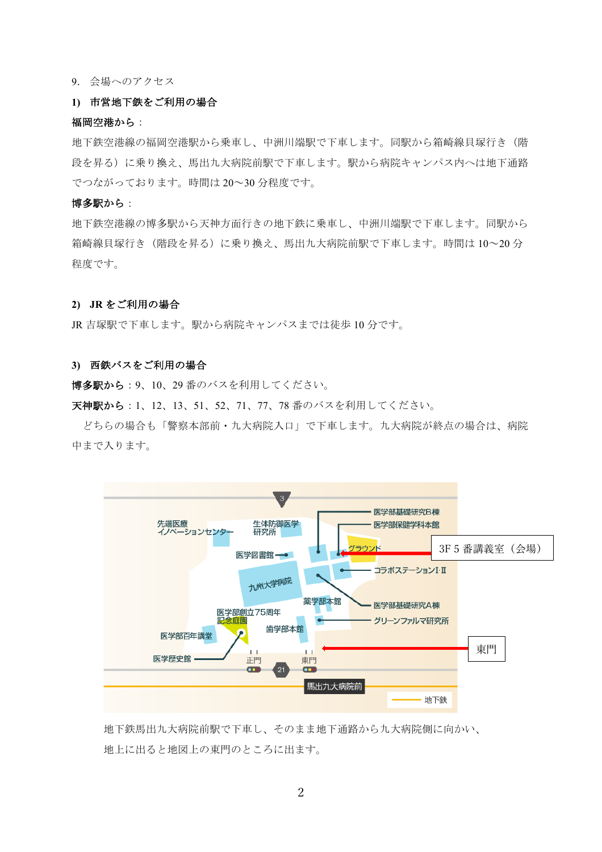9. 会場へのアクセス

#### **1)** 市営地下鉄をご利用の場合

#### 福岡空港から:

地下鉄空港線の福岡空港駅から乗車し、中洲川端駅で下車します。同駅から箱崎線貝塚行き(階 段を昇る)に乗り換え、馬出九大病院前駅で下車します。駅から病院キャンパス内へは地下通路 でつながっております。時間は 20~30 分程度です。

#### 博多駅から:

地下鉄空港線の博多駅から天神方面行きの地下鉄に乗車し、中洲川端駅で下車します。同駅から 箱崎線貝塚行き(階段を昇る)に乗り換え、馬出九大病院前駅で下車します。時間は 10~20 分 程度です。

#### **2) JR** をご利用の場合

JR 吉塚駅で下車します。駅から病院キャンパスまでは徒歩 10 分です。

#### **3)** 西鉄バスをご利用の場合

博多駅から:9、10、29 番のバスを利用してください。

天神駅から:1、12、13、51、52、71、77、78 番のバスを利用してください。

どちらの場合も「警察本部前・九大病院入口」で下車します。九大病院が終点の場合は、病院 中まで入ります。



 地下鉄馬出九大病院前駅で下車し、そのまま地下通路から九大病院側に向かい、 地上に出ると地図上の東門のところに出ます。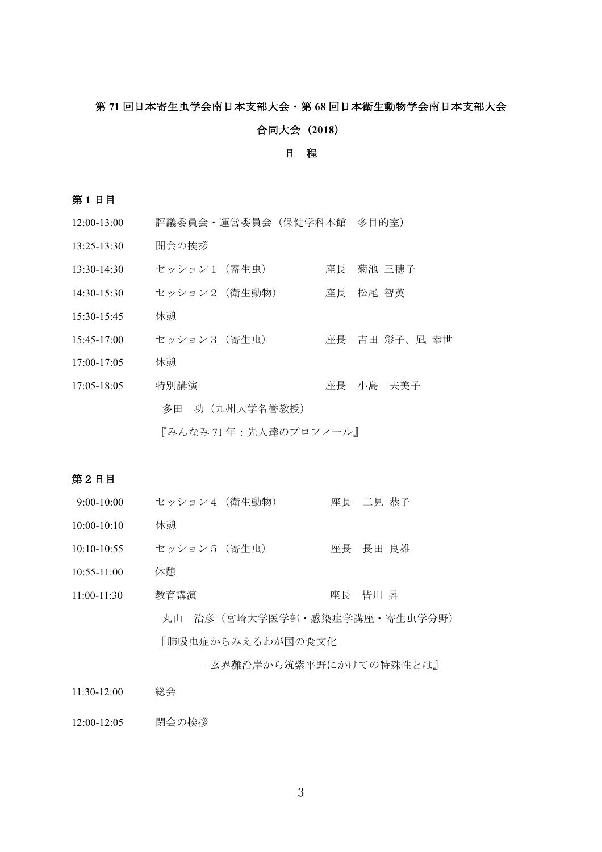# 第 **71** 回日本寄生虫学会南日本支部大会・第 **68** 回日本衛生動物学会南日本支部大会

#### 合同大会(**2018**)

#### 日 程

#### 第 **1** 日目

- 12:00-13:00 評議委員会・運営委員会(保健学科本館 多目的室)
- 13:25-13:30 開会の挨拶
- 13:30-14:30 セッション1 (寄生虫) 座長 菊池 三穂子
- 14:30-15:30 セッション2 (衛生動物) 座長 松尾 智英
- 15:30-15:45 休憩
- 15:45-17:00 セッション3(寄生虫) 座長 吉田 彩子、凪 幸世
- 17:00-17:05 休憩
- 17:05-18:05 特別講演 座長 小島 夫美子 多田 功(九州大学名誉教授)

 『みんなみ 71 年:先人達のプロフィール』

#### 第2日目

9:00-10:00 セッション4 (衛生動物) 座長 二見 恭子 10:00-10:10 休憩 10:10-10:55 セッション5 (寄生虫) 座長 長田 良雄 10:55-11:00 休憩 11:00-11:30 教育講演 座長 皆川 昇 丸山 治彦(宮崎大学医学部・感染症学講座・寄生虫学分野) 『肺吸虫症からみえるわが国の食文化

 -玄界灘沿岸から筑紫平野にかけての特殊性とは』

11:30-12:00 総会 

12:00-12:05 閉会の挨拶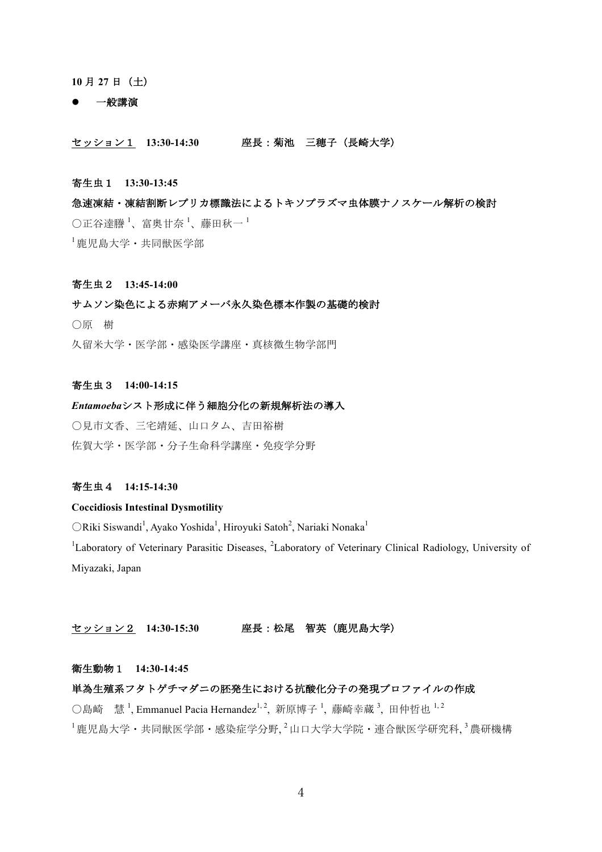#### **10** 月 **27** 日(土)

#### l 一般講演

#### セッション1 **13:30-14:30** 座長:菊池 三穂子(長崎大学)

#### 寄生虫1 **13:30-13:45**

急㏿凍結・凍結割断レプリカ標識法によるトキソプラズマ虫体膜ナノスケール解析の検討  $\bigcirc$ 正谷達謄<sup>1</sup>、富奥甘奈<sup>1</sup>、藤田秋一<sup>1</sup> <sup>1</sup> 鹿児島大学・共同獣医学部

#### 寄生虫2 **13:45-14:00**

#### サムソン染色による赤痢アメーバ永久染色標本作製の基礎的検討

〇原 樹

久留米大学・医学部・感染医学講座・真核微生物学部門

#### 寄生虫3 **14:00-14:15**

# *Entamoeba*シスト形成に伴う細胞分化の新規解析法の導入

〇見市文香、三宅靖延、山口タム、吉田裕樹 佐賀大学・医学部・分子生命科学講座・免疫学分野

#### 寄生虫4 **14:15-14:30**

#### **Coccidiosis Intestinal Dysmotility**

ORiki Siswandi<sup>1</sup>, Ayako Yoshida<sup>1</sup>, Hiroyuki Satoh<sup>2</sup>, Nariaki Nonaka<sup>1</sup>

<sup>1</sup>Laboratory of Veterinary Parasitic Diseases, <sup>2</sup>Laboratory of Veterinary Clinical Radiology, University of Miyazaki, Japan

#### セッション2 **14:30-15:30** 座長:松尾 智英(鹿児島大学)

#### 衛生動物1 **14:30-14:45**

## 単為生殖系フタトゲチマダニの胚発生における抗酸化分子の発現プロファイルの作成

○島崎 慧<sup>1</sup>, Emmanuel Pacia Hernandez<sup>1, 2</sup>, 新原博子<sup>1</sup>, 藤崎幸蔵<sup>3</sup>, 田仲哲也 <sup>1, 2</sup>  $^{-1}$ 鹿児島大学・共同獣医学部・感染症学分野. $^{-2}$ 山口大学大学院・連合獣医学研究科. $^{-3}$ 農研機構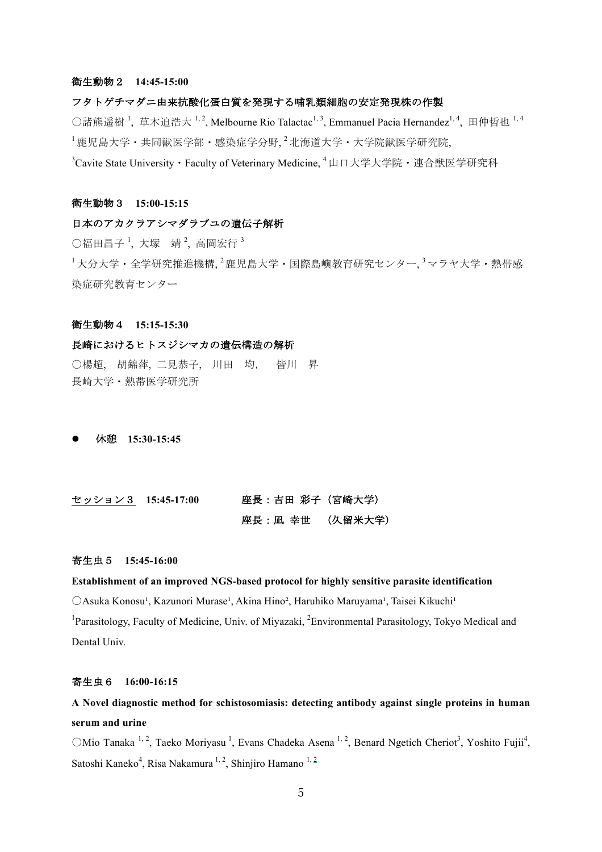#### 衛生動物2 **14:45-15:00**

#### フタトゲチマダニ由来抗酸化蛋白質を発現する哺乳類細胞の安定発現株の作製

○諸熊遥樹<sup>1</sup>, 草木迫浩大 <sup>1, 2</sup>, Melbourne Rio Talactac<sup>1, 3</sup>, Emmanuel Pacia Hernandez<sup>1, 4</sup>, 田仲哲也 <sup>1, 4</sup>  $^{-1}$ 鹿児島大学・共同獣医学部・感染症学分野, $^{-2}$ 北海道大学・大学院獣医学研究院, <sup>3</sup>Cavite State University • Faculty of Veterinary Medicine, <sup>4</sup> 山口大学大学院 • 連合獣医学研究科

#### 衛生動物3 **15:00-15:15**

#### 日本のアカクラアシマダラブユの遺伝子解析

 $\bigcirc$ 福田昌子<sup>1</sup>,大塚 靖<sup>2</sup>, 高岡宏行<sup>3</sup>  $^{-1}$ 大分大学・全学研究推進機構,  $^{2}$ 鹿児島大学・国際島嶼教育研究センター,  $^{3}$ マラヤ大学・熱帯感

#### 衛生動物4 **15:15-15:30**

染症研究教育センター

#### 長崎におけるヒトスジシマカの遺伝構造の解析

〇楊超, 胡錦萍, 二見恭子, 川田 均, 皆川 昇 長崎大学・熱帯医学研究所

l 休憩 **15:30-15:45**

| セッション3 15:45-17:00 | 座長:吉田 彩子(宮崎大学)  |  |
|--------------------|-----------------|--|
|                    | 座長:凪 幸世 (久留米大学) |  |

#### 寄生虫5 **15:45-16:00**

#### **Establishment of an improved NGS-based protocol for highly sensitive parasite identification**

 $O$ Asuka Konosu<sup>1</sup>, Kazunori Murase<sup>1</sup>, Akina Hino<sup>2</sup>, Haruhiko Maruyama<sup>1</sup>, Taisei Kikuchi<sup>1</sup> <sup>1</sup>Parasitology, Faculty of Medicine, Univ. of Miyazaki, <sup>2</sup>Environmental Parasitology, Tokyo Medical and Dental Univ.

#### 寄生虫6 **16:00-16:15**

# **A Novel diagnostic method for schistosomiasis: detecting antibody against single proteins in human serum and urine**

 $\bigcirc$ Mio Tanaka <sup>1, 2</sup>, Taeko Moriyasu<sup>1</sup>, Evans Chadeka Asena <sup>1, 2</sup>, Benard Ngetich Cheriot<sup>3</sup>, Yoshito Fujii<sup>4</sup>, Satoshi Kaneko<sup>4</sup>, Risa Nakamura<sup>1, 2</sup>, Shinjiro Hamano<sup>1, 2</sup>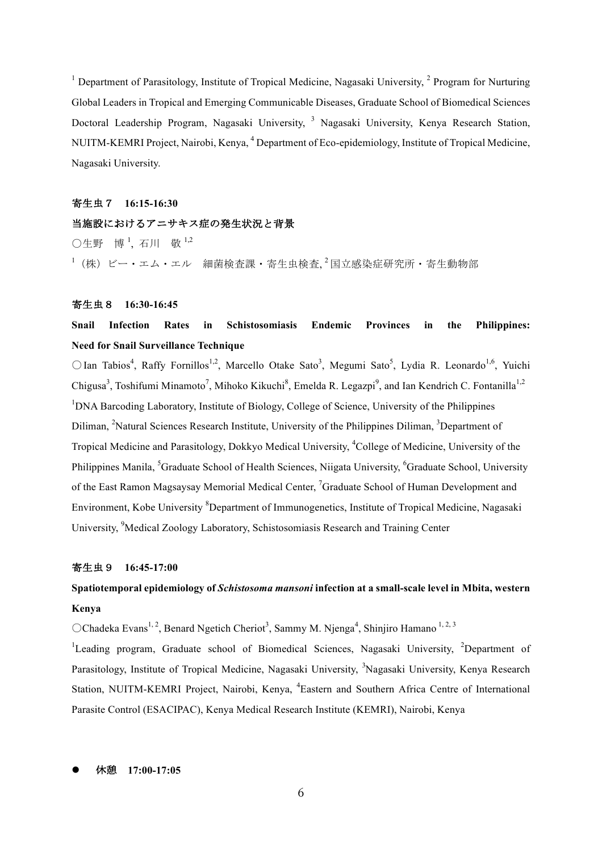<sup>1</sup> Department of Parasitology, Institute of Tropical Medicine, Nagasaki University,  $\frac{2}{3}$  Program for Nurturing Global Leaders in Tropical and Emerging Communicable Diseases, Graduate School of Biomedical Sciences Doctoral Leadership Program, Nagasaki University, <sup>3</sup> Nagasaki University, Kenya Research Station, NUITM-KEMRI Project, Nairobi, Kenya, <sup>4</sup> Department of Eco-epidemiology, Institute of Tropical Medicine, Nagasaki University.

#### 寄生虫7 **16:15-16:30**

# 当施設におけるアニサキス症の発生状況と背景

 $\bigcirc$ 生野 博<sup>1</sup>, 石川 敬<sup>1,2</sup>  $^{-1}$ (株)ビー・エム・エル 細菌検査課・寄生虫検査, $^2$ 国立感染症研究所・寄生動物部

#### 寄生虫8 **16:30-16:45**

# **Snail Infection Rates in Schistosomiasis Endemic Provinces in the Philippines: Need for Snail Surveillance Technique**

○ Ian Tabios<sup>4</sup>, Raffy Fornillos<sup>1,2</sup>, Marcello Otake Sato<sup>3</sup>, Megumi Sato<sup>5</sup>, Lydia R. Leonardo<sup>1,6</sup>, Yuichi Chigusa<sup>3</sup>, Toshifumi Minamoto<sup>7</sup>, Mihoko Kikuchi<sup>8</sup>, Emelda R. Legazpi<sup>9</sup>, and Ian Kendrich C. Fontanilla<sup>1,2</sup> <sup>1</sup>DNA Barcoding Laboratory, Institute of Biology, College of Science, University of the Philippines Diliman, <sup>2</sup>Natural Sciences Research Institute, University of the Philippines Diliman, <sup>3</sup>Department of Tropical Medicine and Parasitology, Dokkyo Medical University, <sup>4</sup>College of Medicine, University of the Philippines Manila, <sup>5</sup>Graduate School of Health Sciences, Niigata University, <sup>6</sup>Graduate School, University of the East Ramon Magsaysay Memorial Medical Center, <sup>7</sup>Graduate School of Human Development and Environment, Kobe University <sup>8</sup>Department of Immunogenetics, Institute of Tropical Medicine, Nagasaki University, <sup>9</sup>Medical Zoology Laboratory, Schistosomiasis Research and Training Center

#### 寄生虫9 **16:45-17:00**

# **Spatiotemporal epidemiology of** *Schistosoma mansoni* **infection at a small-scale level in Mbita, western Kenya**

 $OChadeka Evans<sup>1, 2</sup>$ , Benard Ngetich Cheriot<sup>3</sup>, Sammy M. Njenga<sup>4</sup>, Shinjiro Hamano<sup>1, 2, 3</sup>

<sup>1</sup>Leading program, Graduate school of Biomedical Sciences, Nagasaki University, <sup>2</sup>Department of Parasitology, Institute of Tropical Medicine, Nagasaki University, <sup>3</sup>Nagasaki University, Kenya Research Station, NUITM-KEMRI Project, Nairobi, Kenya, <sup>4</sup>Eastern and Southern Africa Centre of International Parasite Control (ESACIPAC), Kenya Medical Research Institute (KEMRI), Nairobi, Kenya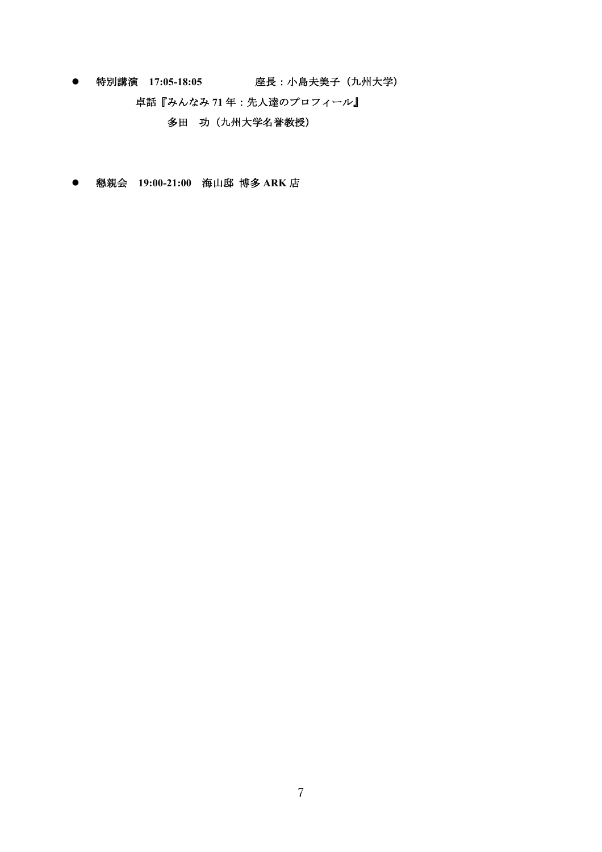- l 特別講演 **17:05-18:05** 座長:小島夫美子(九州大学)
	- 卓話『みんなみ **71** 年:先人達のプロフィール』

 多田 功(九州大学名誉教授)

l 懇親会 **19:00-21:00** 海山邸 博多 **ARK** 店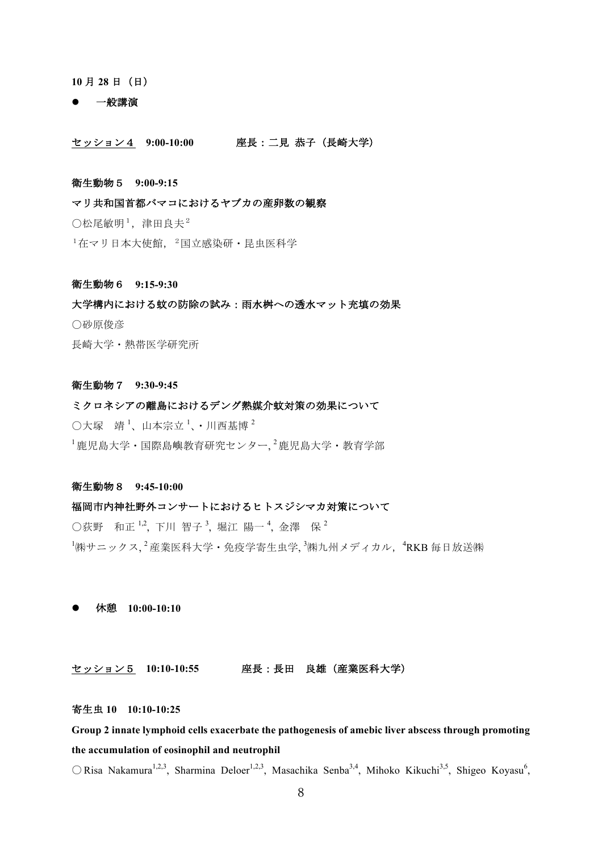**10** 月 **28** 日(日)

#### l 一般講演

セッション4 **9:00-10:00** 座長:二見 恭子(長崎大学)

#### 衛生動物5 **9:00-9:15**

マリ共和国首都バマコにおけるヤブカの産卵数の観察

 $\bigcirc$  松尾敏明<sup>1</sup>, 津田良夫<sup>2</sup>

 $1$ 在マリ日本大使館,  $2$ 国立感染研·昆虫医科学

#### 衛生動物6 **9:15-9:30**

大学構内における蚊の防除の試み:雨水桝への透水マット充填の効果 〇砂原俊彦 長崎大学・熱帯医学研究所

#### 衛生動物7 **9:30-9:45**

ミクロネシアの離島におけるデング熱媒介蚊対策の効果について  $\bigcirc$ 大塚 靖<sup>1</sup>、山本宗立<sup>1</sup>、・川西基博<sup>2</sup>  $^{-1}$ 鹿児島大学・国際島嶼教育研究センター,  $^{2}$ 鹿児島大学・教育学部

#### 衛生動物8 **9:45-10:00**

#### 福岡市内神社野外コンサートにおけるヒトスジシマカ対策について

○荻野 和正 1.2, 下川 智子 <sup>3</sup>, 堀江 陽一 4, 金澤 保 2  $^{1}$ ㈱サニックス $,^{2}$ 産業医科大学・免疫学寄生虫学 $,^{3}$ ㈱九州メディカル, $^{4}$ RKB 毎日放送㈱

l 休憩 **10:00-10:10**

セッション5 **10:10-10:55** 座長:長田 良雄(産業医科大学)

### 寄生虫 **10 10:10-10:25**

**Group 2 innate lymphoid cells exacerbate the pathogenesis of amebic liver abscess through promoting the accumulation of eosinophil and neutrophil**

 $\bigcirc$  Risa Nakamura<sup>1,2,3</sup>, Sharmina Deloer<sup>1,2,3</sup>, Masachika Senba<sup>3,4</sup>, Mihoko Kikuchi<sup>3,5</sup>, Shigeo Koyasu<sup>6</sup>,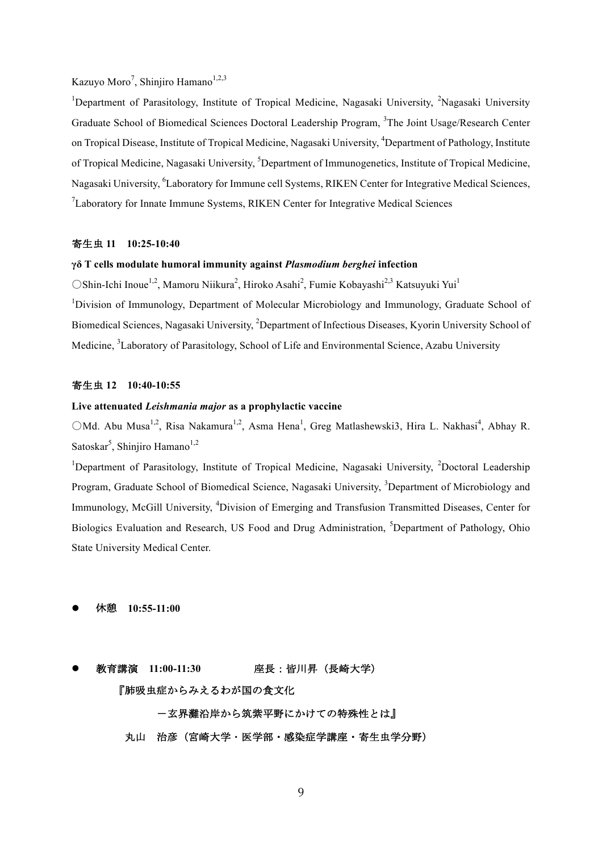#### Kazuyo Moro<sup>7</sup>, Shinjiro Hamano<sup>1,2,3</sup>

<sup>1</sup>Department of Parasitology, Institute of Tropical Medicine, Nagasaki University, <sup>2</sup>Nagasaki University Graduate School of Biomedical Sciences Doctoral Leadership Program, <sup>3</sup>The Joint Usage/Research Center on Tropical Disease, Institute of Tropical Medicine, Nagasaki University, <sup>4</sup>Department of Pathology, Institute of Tropical Medicine, Nagasaki University, <sup>5</sup>Department of Immunogenetics, Institute of Tropical Medicine, Nagasaki University, <sup>6</sup>Laboratory for Immune cell Systems, RIKEN Center for Integrative Medical Sciences,  $7$ Laboratory for Innate Immune Systems, RIKEN Center for Integrative Medical Sciences

#### 寄生虫 **11 10:25-10:40**

#### **γδ T cells modulate humoral immunity against** *Plasmodium berghei* **infection**

○Shin-Ichi Inoue<sup>1,2</sup>, Mamoru Niikura<sup>2</sup>, Hiroko Asahi<sup>2</sup>, Fumie Kobayashi<sup>2,3</sup> Katsuyuki Yui<sup>1</sup> <sup>1</sup>Division of Immunology, Department of Molecular Microbiology and Immunology, Graduate School of Biomedical Sciences, Nagasaki University, <sup>2</sup>Department of Infectious Diseases, Kyorin University School of Medicine, <sup>3</sup>Laboratory of Parasitology, School of Life and Environmental Science, Azabu University

#### 寄生虫 **12 10:40-10:55**

#### **Live attenuated** *Leishmania major* **as a prophylactic vaccine**

○Md. Abu Musa<sup>1,2</sup>, Risa Nakamura<sup>1,2</sup>, Asma Hena<sup>1</sup>, Greg Matlashewski3, Hira L. Nakhasi<sup>4</sup>, Abhay R. Satoskar<sup>5</sup>, Shinjiro Hamano<sup>1,2</sup>

<sup>1</sup>Department of Parasitology, Institute of Tropical Medicine, Nagasaki University, <sup>2</sup>Doctoral Leadership Program, Graduate School of Biomedical Science, Nagasaki University, <sup>3</sup>Department of Microbiology and Immunology, McGill University, <sup>4</sup>Division of Emerging and Transfusion Transmitted Diseases, Center for Biologics Evaluation and Research, US Food and Drug Administration, <sup>5</sup>Department of Pathology, Ohio State University Medical Center.

- l 休憩 **10:55-11:00**
- **教育講演 11:00-11:30** 座長 : 皆川昇(長崎大学) 『肺吸虫症からみえるわが国の食文化 -玄界灘沿岸から筑紫平野にかけての特殊性とは』 丸山 治彦(宮崎大学・医学部・感染症学講座・寄生虫学分野)